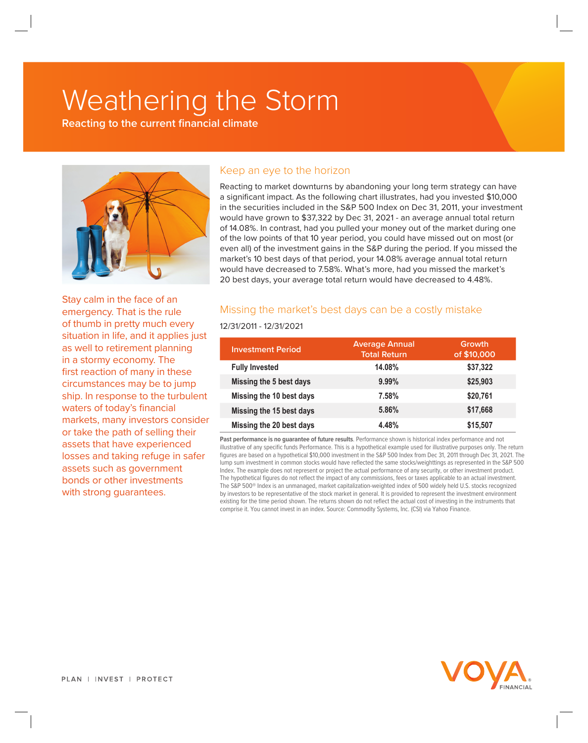# Weathering the Storm

**Reacting to the current financial climate**



## Keep an eye to the horizon

Reacting to market downturns by abandoning your long term strategy can have a significant impact. As the following chart illustrates, had you invested \$10,000 in the securities included in the S&P 500 Index on Dec 31, 2011, your investment would have grown to \$37,322 by Dec 31, 2021 - an average annual total return of 14.08%. In contrast, had you pulled your money out of the market during one of the low points of that 10 year period, you could have missed out on most (or even all) of the investment gains in the S&P during the period. If you missed the market's 10 best days of that period, your 14.08% average annual total return would have decreased to 7.58%. What's more, had you missed the market's 20 best days, your average total return would have decreased to 4.48%.

Stay calm in the face of an emergency. That is the rule of thumb in pretty much every situation in life, and it applies just as well to retirement planning in a stormy economy. The first reaction of many in these circumstances may be to jump ship. In response to the turbulent waters of today's financial markets, many investors consider or take the path of selling their assets that have experienced losses and taking refuge in safer assets such as government bonds or other investments with strong guarantees.

# Missing the market's best days can be a costly mistake

#### 12/31/2011 - 12/31/2021

| <b>Investment Period</b> | <b>Average Annual</b><br><b>Total Return</b> | Growth<br>of \$10,000 |
|--------------------------|----------------------------------------------|-----------------------|
| <b>Fully Invested</b>    | 14.08%                                       | \$37,322              |
| Missing the 5 best days  | $9.99\%$                                     | \$25,903              |
| Missing the 10 best days | 7.58%                                        | \$20,761              |
| Missing the 15 best days | 5.86%                                        | \$17,668              |
| Missing the 20 best days | 4.48%                                        | \$15,507              |

**Past performance is no guarantee of future results**. Performance shown is historical index performance and not illustrative of any specific funds Performance. This is a hypothetical example used for illustrative purposes only. The return figures are based on a hypothetical \$10,000 investment in the S&P 500 Index from Dec 31, 2011 through Dec 31, 2021. The lump sum investment in common stocks would have reflected the same stocks/weighttings as represented in the S&P 500 Index. The example does not represent or project the actual performance of any security, or other investment product. The hypothetical figures do not reflect the impact of any commissions, fees or taxes applicable to an actual investment. The S&P 500® Index is an unmanaged, market capitalization-weighted index of 500 widely held U.S. stocks recognized by investors to be representative of the stock market in general. It is provided to represent the investment environment existing for the time period shown. The returns shown do not reflect the actual cost of investing in the instruments that comprise it. You cannot invest in an index. Source: Commodity Systems, Inc. (CSI) via Yahoo Finance.